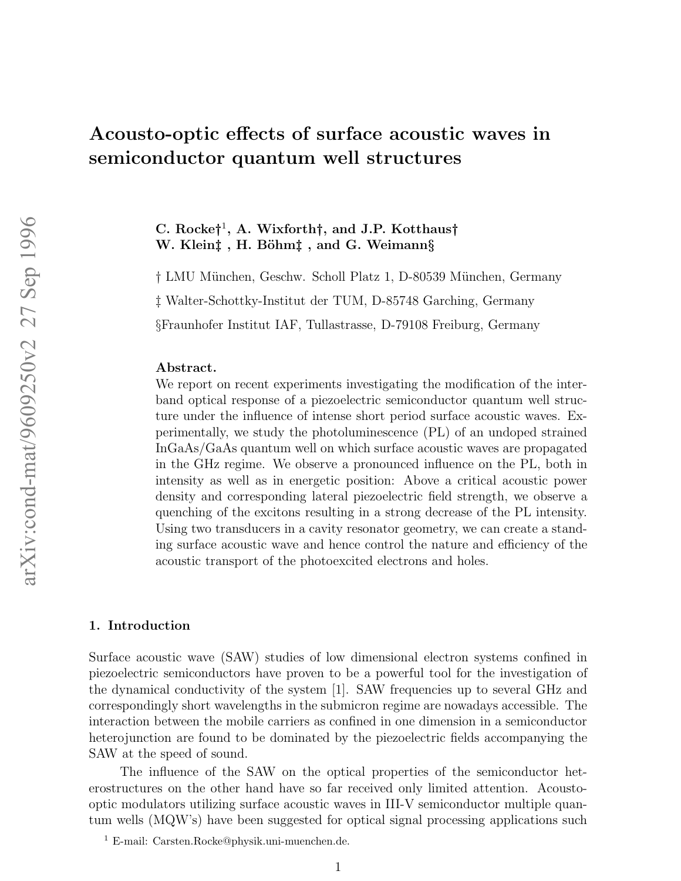# Acousto-optic effects of surface acoustic waves in semiconductor quantum well structures

## C. Rocke† 1 , A. Wixforth†, and J.P. Kotthaus† W. Klein‡, H. Böhm‡, and G. Weimann§

† LMU M¨unchen, Geschw. Scholl Platz 1, D-80539 M¨unchen, Germany

‡ Walter-Schottky-Institut der TUM, D-85748 Garching, Germany

§Fraunhofer Institut IAF, Tullastrasse, D-79108 Freiburg, Germany

#### Abstract.

We report on recent experiments investigating the modification of the interband optical response of a piezoelectric semiconductor quantum well structure under the influence of intense short period surface acoustic waves. Experimentally, we study the photoluminescence (PL) of an undoped strained InGaAs/GaAs quantum well on which surface acoustic waves are propagated in the GHz regime. We observe a pronounced influence on the PL, both in intensity as well as in energetic position: Above a critical acoustic power density and corresponding lateral piezoelectric field strength, we observe a quenching of the excitons resulting in a strong decrease of the PL intensity. Using two transducers in a cavity resonator geometry, we can create a standing surface acoustic wave and hence control the nature and efficiency of the acoustic transport of the photoexcited electrons and holes.

#### 1. Introduction

Surface acoustic wave (SAW) studies of low dimensional electron systems confined in piezoelectric semiconductors have proven to be a powerful tool for the investigation of the dynamical conductivity of the system[[1\]](#page-3-0). SAW frequencies up to several GHz and correspondingly short wavelengths in the submicron regime are nowadays accessible. The interaction between the mobile carriers as confined in one dimension in a semiconductor heterojunction are found to be dominated by the piezoelectric fields accompanying the SAW at the speed of sound.

The influence of the SAW on the optical properties of the semiconductor heterostructures on the other hand have so far received only limited attention. Acoustooptic modulators utilizing surface acoustic waves in III-V semiconductor multiple quantum wells (MQW's) have been suggested for optical signal processing applications such

<sup>1</sup> E-mail: Carsten.Rocke@physik.uni-muenchen.de.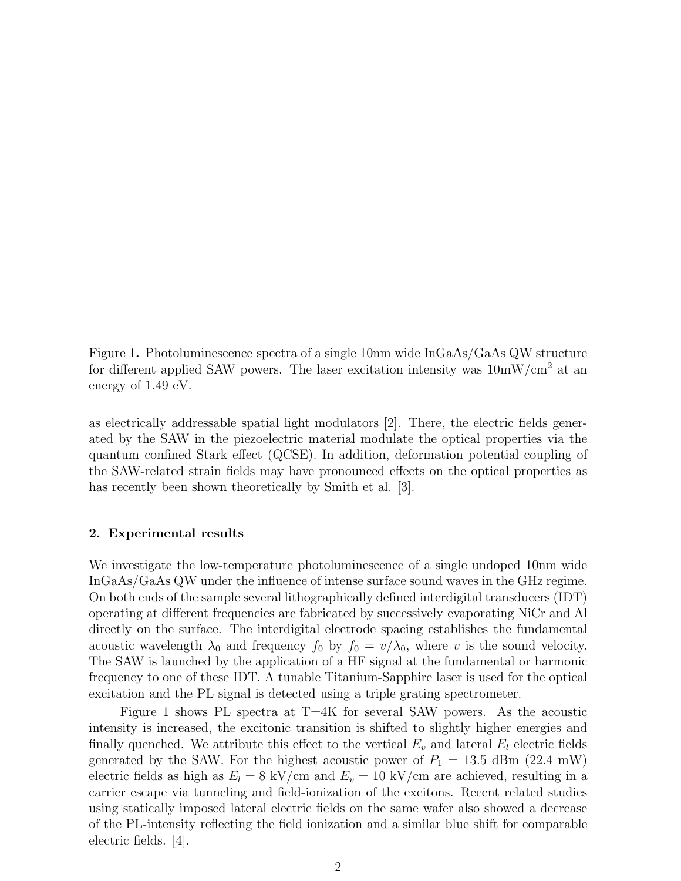Figure 1. Photoluminescence spectra of a single 10nm wide InGaAs/GaAs QW structure for different applied SAW powers. The laser excitation intensity was  $10 \text{mW/cm}^2$  at an energy of 1.49 eV.

as electrically addressable spatial light modulators [\[2](#page-3-0)]. There, the electric fields generated by the SAW in the piezoelectric material modulate the optical properties via the quantum confined Stark effect (QCSE). In addition, deformation potential coupling of the SAW-related strain fields may have pronounced effects on the optical properties as has recently been shown theoretically by Smith et al.[[3\]](#page-3-0).

#### 2. Experimental results

We investigate the low-temperature photoluminescence of a single undoped 10nm wide InGaAs/GaAs QW under the influence of intense surface sound waves in the GHz regime. On both ends of the sample several lithographically defined interdigital transducers (IDT) operating at different frequencies are fabricated by successively evaporating NiCr and Al directly on the surface. The interdigital electrode spacing establishes the fundamental acoustic wavelength  $\lambda_0$  and frequency  $f_0$  by  $f_0 = v/\lambda_0$ , where v is the sound velocity. The SAW is launched by the application of a HF signal at the fundamental or harmonic frequency to one of these IDT. A tunable Titanium-Sapphire laser is used for the optical excitation and the PL signal is detected using a triple grating spectrometer.

Figure 1 shows PL spectra at  $T=4K$  for several SAW powers. As the acoustic intensity is increased, the excitonic transition is shifted to slightly higher energies and finally quenched. We attribute this effect to the vertical  $E_v$  and lateral  $E_l$  electric fields generated by the SAW. For the highest acoustic power of  $P_1 = 13.5$  dBm (22.4 mW) electric fields as high as  $E_l = 8 \text{ kV/cm}$  and  $E_v = 10 \text{ kV/cm}$  are achieved, resulting in a carrier escape via tunneling and field-ionization of the excitons. Recent related studies using statically imposed lateral electric fields on the same wafer also showed a decrease of the PL-intensity reflecting the field ionization and a similar blue shift for comparable electric fields. [\[4\]](#page-3-0).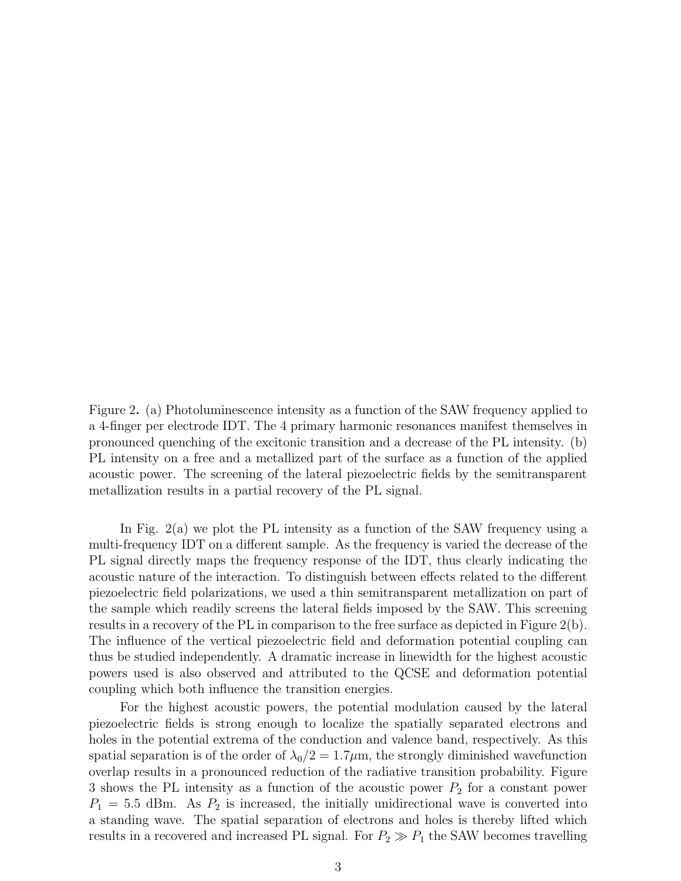Figure 2. (a) Photoluminescence intensity as a function of the SAW frequency applied to a 4-finger per electrode IDT. The 4 primary harmonic resonances manifest themselves in pronounced quenching of the excitonic transition and a decrease of the PL intensity. (b) PL intensity on a free and a metallized part of the surface as a function of the applied acoustic power. The screening of the lateral piezoelectric fields by the semitransparent metallization results in a partial recovery of the PL signal.

In Fig. 2(a) we plot the PL intensity as a function of the SAW frequency using a multi-frequency IDT on a different sample. As the frequency is varied the decrease of the PL signal directly maps the frequency response of the IDT, thus clearly indicating the acoustic nature of the interaction. To distinguish between effects related to the different piezoelectric field polarizations, we used a thin semitransparent metallization on part of the sample which readily screens the lateral fields imposed by the SAW. This screening results in a recovery of the PL in comparison to the free surface as depicted in Figure 2(b). The influence of the vertical piezoelectric field and deformation potential coupling can thus be studied independently. A dramatic increase in linewidth for the highest acoustic powers used is also observed and attributed to the QCSE and deformation potential coupling which both influence the transition energies.

For the highest acoustic powers, the potential modulation caused by the lateral piezoelectric fields is strong enough to localize the spatially separated electrons and holes in the potential extrema of the conduction and valence band, respectively. As this spatial separation is of the order of  $\lambda_0/2 = 1.7 \mu m$ , the strongly diminished wavefunction overlap results in a pronounced reduction of the radiative transition probability. Figure 3 shows the PL intensity as a function of the acoustic power  $P_2$  for a constant power  $P_1 = 5.5$  dBm. As  $P_2$  is increased, the initially unidirectional wave is converted into a standing wave. The spatial separation of electrons and holes is thereby lifted which results in a recovered and increased PL signal. For  $P_2 \gg P_1$  the SAW becomes travelling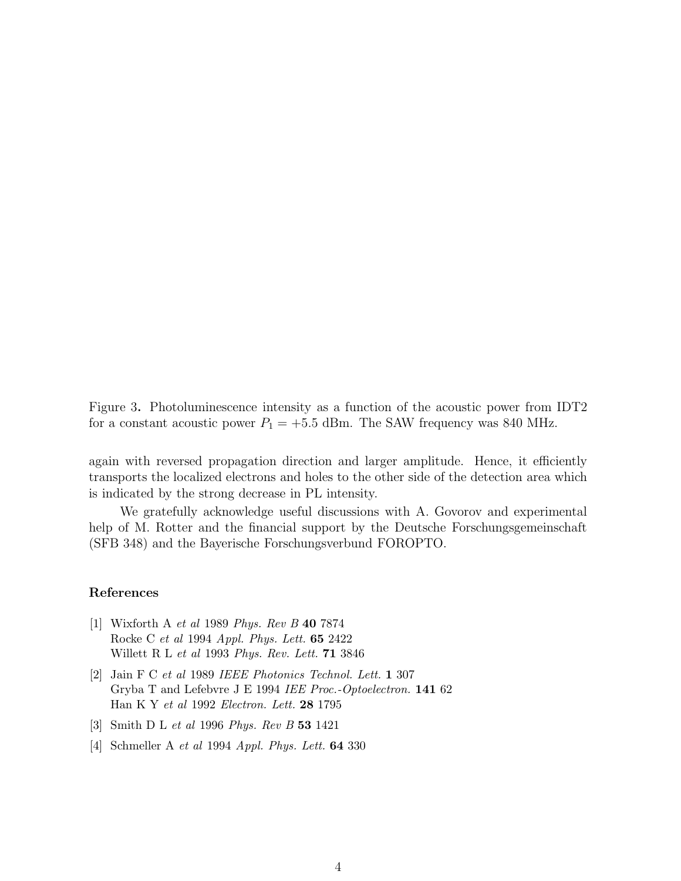<span id="page-3-0"></span>Figure 3. Photoluminescence intensity as a function of the acoustic power from IDT2 for a constant acoustic power  $P_1 = +5.5$  dBm. The SAW frequency was 840 MHz.

again with reversed propagation direction and larger amplitude. Hence, it efficiently transports the localized electrons and holes to the other side of the detection area which is indicated by the strong decrease in PL intensity.

We gratefully acknowledge useful discussions with A. Govorov and experimental help of M. Rotter and the financial support by the Deutsche Forschungsgemeinschaft (SFB 348) and the Bayerische Forschungsverbund FOROPTO.

### References

- [1] Wixforth A et al 1989 Phys. Rev B 40 7874 Rocke C et al 1994 Appl. Phys. Lett. 65 2422 Willett R L et al 1993 Phys. Rev. Lett. 71 3846
- [2] Jain F C et al 1989 IEEE Photonics Technol. Lett. 1 307 Gryba T and Lefebvre J E 1994 IEE Proc.-Optoelectron. 141 62 Han K Y et al 1992 Electron. Lett. 28 1795
- [3] Smith D L et al 1996 Phys. Rev B 53 1421
- [4] Schmeller A et al 1994 Appl. Phys. Lett. 64 330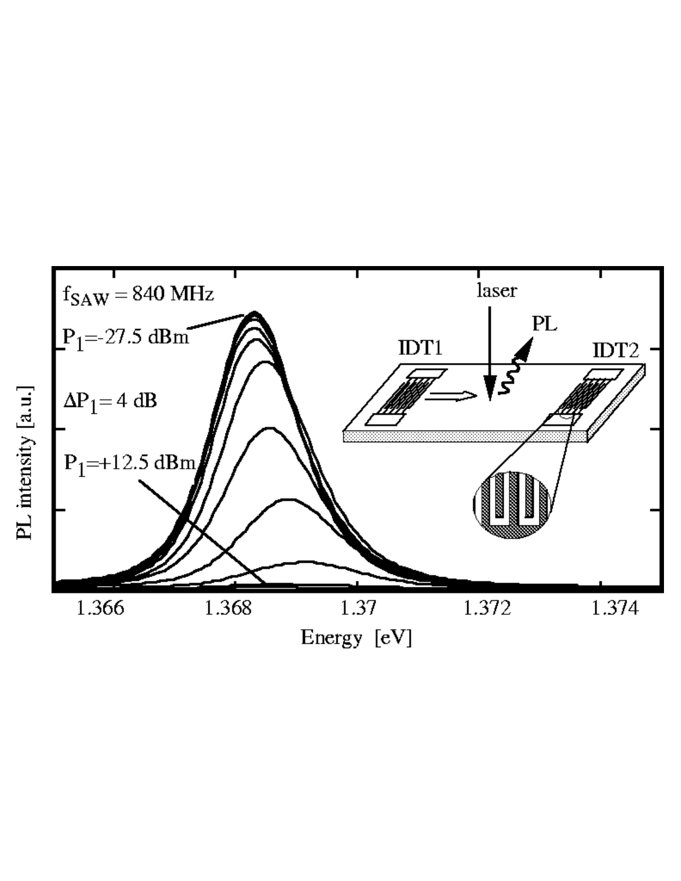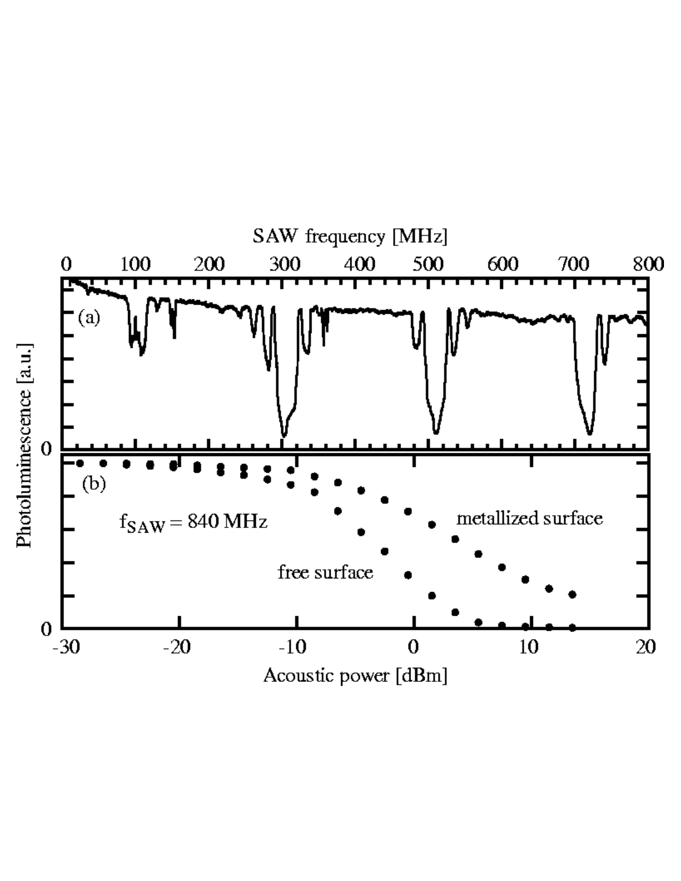